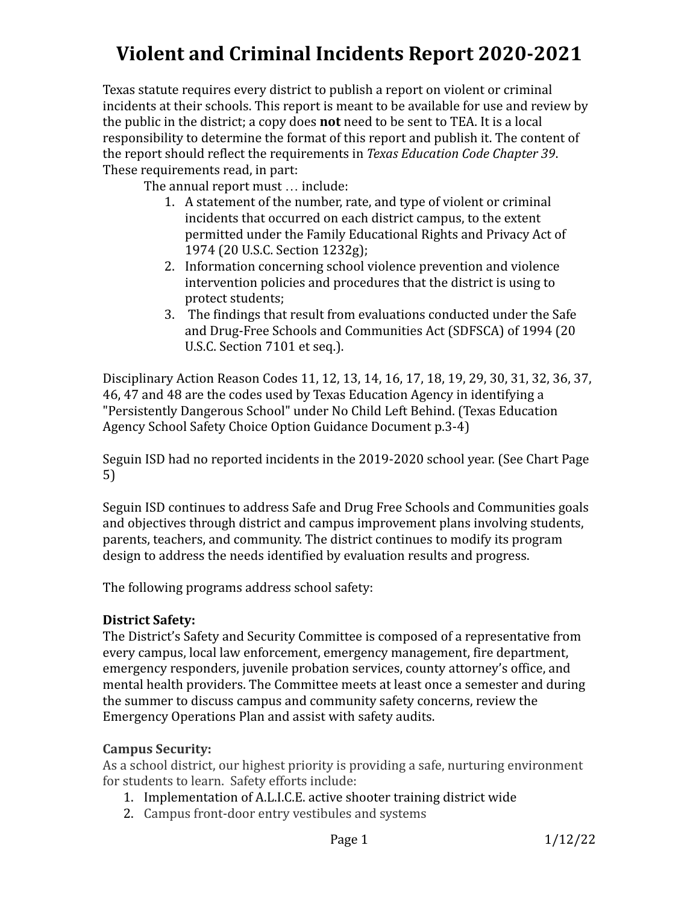# **Violent and Criminal Incidents Report 2020-2021**

Texas statute requires every district to publish a report on violent or criminal incidents at their schools. This report is meant to be available for use and review by the public in the district; a copy does **not** need to be sent to TEA. It is a local responsibility to determine the format of this report and publish it. The content of the report should reflect the requirements in *Texas Education Code Chapter 39*. These requirements read, in part:

The annual report must … include:

- 1. A statement of the number, rate, and type of violent or criminal incidents that occurred on each district campus, to the extent permitted under the Family Educational Rights and Privacy Act of 1974 (20 U.S.C. Section 1232g);
- 2. Information concerning school violence prevention and violence intervention policies and procedures that the district is using to protect students;
- 3. The findings that result from evaluations conducted under the Safe and Drug-Free Schools and Communities Act (SDFSCA) of 1994 (20 U.S.C. Section 7101 et seq.).

Disciplinary Action Reason Codes 11, 12, 13, 14, 16, 17, 18, 19, 29, 30, 31, 32, 36, 37, 46, 47 and 48 are the codes used by Texas Education Agency in identifying a "Persistently Dangerous School" under No Child Left Behind. (Texas Education Agency School Safety Choice Option Guidance Document p.3-4)

Seguin ISD had no reported incidents in the 2019-2020 school year. (See Chart Page 5)

Seguin ISD continues to address Safe and Drug Free Schools and Communities goals and objectives through district and campus improvement plans involving students, parents, teachers, and community. The district continues to modify its program design to address the needs identified by evaluation results and progress.

The following programs address school safety:

### **District Safety:**

The District's Safety and Security Committee is composed of a representative from every campus, local law enforcement, emergency management, fire department, emergency responders, juvenile probation services, county attorney's office, and mental health providers. The Committee meets at least once a semester and during the summer to discuss campus and community safety concerns, review the Emergency Operations Plan and assist with safety audits.

### **Campus Security:**

As a school district, our highest priority is providing a safe, nurturing environment for students to learn. Safety efforts include:

- 1. Implementation of A.L.I.C.E. active shooter training district wide
- 2. Campus front-door entry vestibules and systems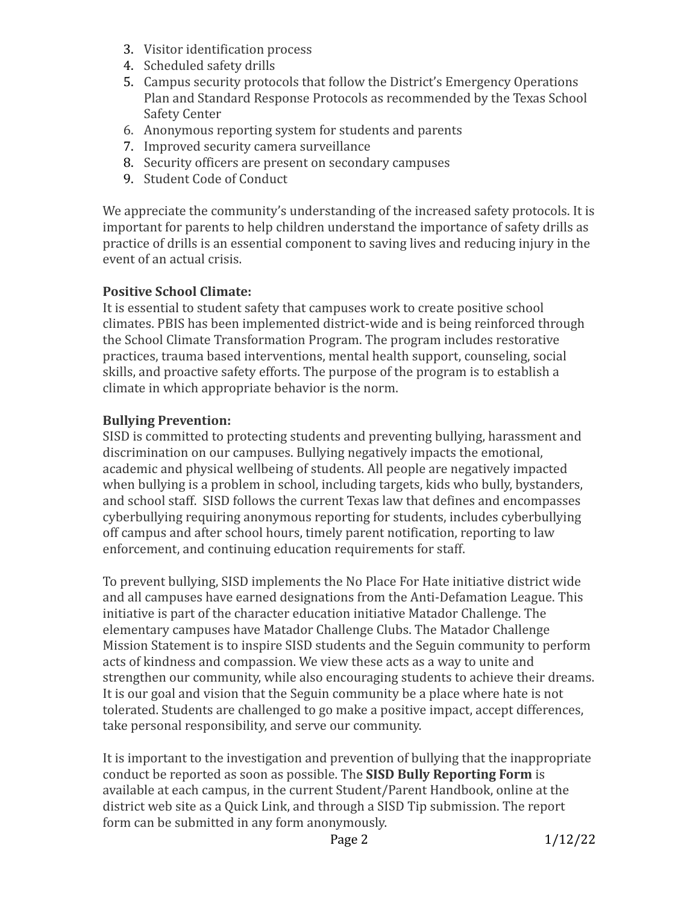- 3. Visitor identification process
- 4. Scheduled safety drills
- 5. Campus security protocols that follow the District's Emergency Operations Plan and Standard Response Protocols as recommended by the Texas School Safety Center
- 6. Anonymous reporting system for students and parents
- 7. Improved security camera surveillance
- 8. Security officers are present on secondary campuses
- 9. Student Code of Conduct

We appreciate the community's understanding of the increased safety protocols. It is important for parents to help children understand the importance of safety drills as practice of drills is an essential component to saving lives and reducing injury in the event of an actual crisis.

# **Positive School Climate:**

It is essential to student safety that campuses work to create positive school climates. PBIS has been implemented district-wide and is being reinforced through the School Climate Transformation Program. The program includes restorative practices, trauma based interventions, mental health support, counseling, social skills, and proactive safety efforts. The purpose of the program is to establish a climate in which appropriate behavior is the norm.

# **Bullying Prevention:**

SISD is committed to protecting students and preventing bullying, harassment and discrimination on our campuses. Bullying negatively impacts the emotional, academic and physical wellbeing of students. All people are negatively impacted when bullying is a problem in school, including targets, kids who bully, bystanders, and school staff. SISD follows the current Texas law that defines and encompasses cyberbullying requiring anonymous reporting for students, includes cyberbullying off campus and after school hours, timely parent notification, reporting to law enforcement, and continuing education requirements for staff.

To prevent bullying, SISD implements the No Place For Hate initiative district wide and all campuses have earned designations from the Anti-Defamation League. This initiative is part of the character education initiative Matador Challenge. The elementary campuses have Matador Challenge Clubs. The Matador Challenge Mission Statement is to inspire SISD students and the Seguin community to perform acts of kindness and compassion. We view these acts as a way to unite and strengthen our community, while also encouraging students to achieve their dreams. It is our goal and vision that the Seguin community be a place where hate is not tolerated. Students are challenged to go make a positive impact, accept differences, take personal responsibility, and serve our community.

It is important to the investigation and prevention of bullying that the inappropriate conduct be reported as soon as possible. The **SISD Bully Reporting Form** is available at each campus, in the current Student/Parent Handbook, online at the district web site as a Quick Link, and through a SISD Tip submission. The report form can be submitted in any form anonymously.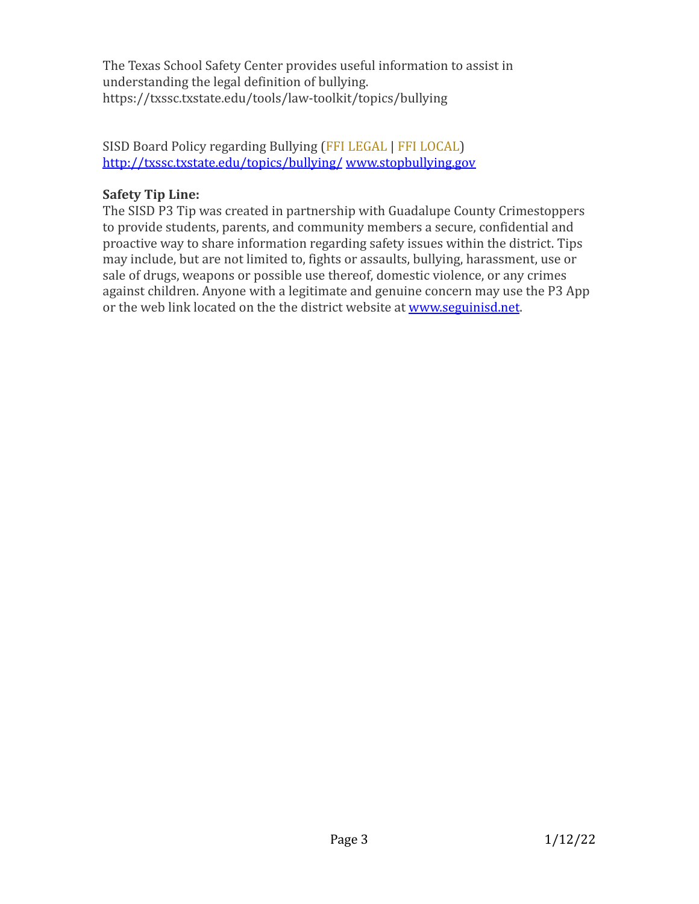The Texas School Safety Center provides useful information to assist in understanding the legal definition of bullying. https://txssc.txstate.edu/tools/law-toolkit/topics/bullying

### SISD Board Policy regarding Bullying (FFI LEGAL | FFI LOCAL) <http://txssc.txstate.edu/topics/bullying/> [www.stopbullying.gov](http://www.stopbullying.gov)

# **Safety Tip Line:**

The SISD P3 Tip was created in partnership with Guadalupe County Crimestoppers to provide students, parents, and community members a secure, confidential and proactive way to share information regarding safety issues within the district. Tips may include, but are not limited to, fights or assaults, bullying, harassment, use or sale of drugs, weapons or possible use thereof, domestic violence, or any crimes against children. Anyone with a legitimate and genuine concern may use the P3 App or the web link located on the the district website at [www.seguinisd.net](http://www.seguinisd.net).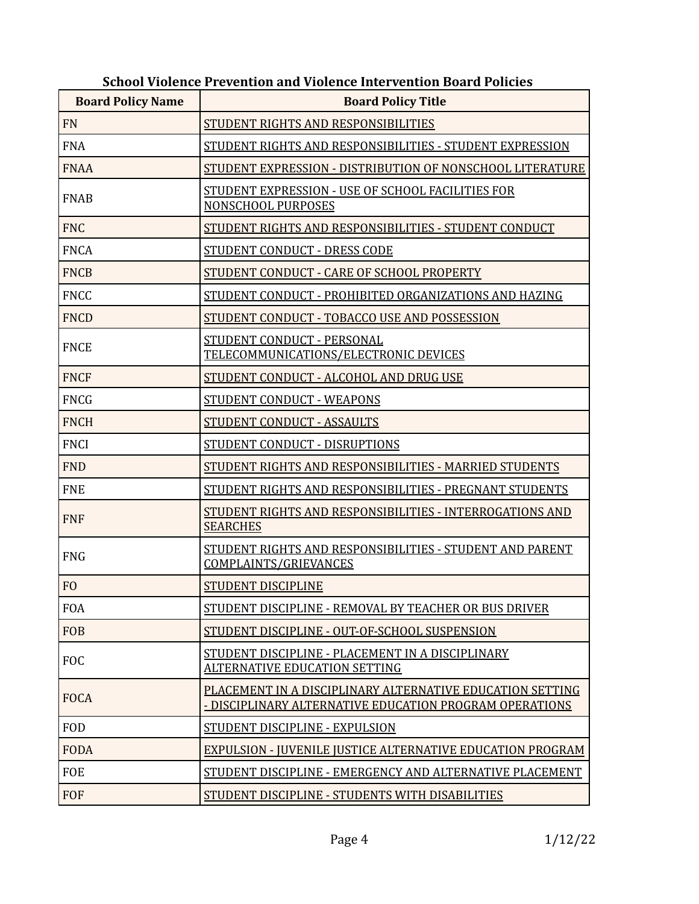| <b>Board Policy Name</b> | <b>Board Policy Title</b>                                                                                            |  |  |  |
|--------------------------|----------------------------------------------------------------------------------------------------------------------|--|--|--|
| <b>FN</b>                | STUDENT RIGHTS AND RESPONSIBILITIES                                                                                  |  |  |  |
| <b>FNA</b>               | STUDENT RIGHTS AND RESPONSIBILITIES - STUDENT EXPRESSION                                                             |  |  |  |
| <b>FNAA</b>              | STUDENT EXPRESSION - DISTRIBUTION OF NONSCHOOL LITERATURE                                                            |  |  |  |
| <b>FNAB</b>              | STUDENT EXPRESSION - USE OF SCHOOL FACILITIES FOR<br>NONSCHOOL PURPOSES                                              |  |  |  |
| <b>FNC</b>               | STUDENT RIGHTS AND RESPONSIBILITIES - STUDENT CONDUCT                                                                |  |  |  |
| <b>FNCA</b>              | STUDENT CONDUCT - DRESS CODE                                                                                         |  |  |  |
| <b>FNCB</b>              | STUDENT CONDUCT - CARE OF SCHOOL PROPERTY                                                                            |  |  |  |
| <b>FNCC</b>              | STUDENT CONDUCT - PROHIBITED ORGANIZATIONS AND HAZING                                                                |  |  |  |
| <b>FNCD</b>              | STUDENT CONDUCT - TOBACCO USE AND POSSESSION                                                                         |  |  |  |
| <b>FNCE</b>              | STUDENT CONDUCT - PERSONAL<br>TELECOMMUNICATIONS/ELECTRONIC DEVICES                                                  |  |  |  |
| <b>FNCF</b>              | STUDENT CONDUCT - ALCOHOL AND DRUG USE                                                                               |  |  |  |
| <b>FNCG</b>              | STUDENT CONDUCT - WEAPONS                                                                                            |  |  |  |
| <b>FNCH</b>              | <b>STUDENT CONDUCT - ASSAULTS</b>                                                                                    |  |  |  |
| <b>FNCI</b>              | STUDENT CONDUCT - DISRUPTIONS                                                                                        |  |  |  |
| <b>FND</b>               | STUDENT RIGHTS AND RESPONSIBILITIES - MARRIED STUDENTS                                                               |  |  |  |
| <b>FNE</b>               | STUDENT RIGHTS AND RESPONSIBILITIES - PREGNANT STUDENTS                                                              |  |  |  |
| <b>FNF</b>               | STUDENT RIGHTS AND RESPONSIBILITIES - INTERROGATIONS AND<br><b>SEARCHES</b>                                          |  |  |  |
| <b>FNG</b>               | STUDENT RIGHTS AND RESPONSIBILITIES - STUDENT AND PARENT<br><b>COMPLAINTS/GRIEVANCES</b>                             |  |  |  |
| F <sub>O</sub>           | <b>STUDENT DISCIPLINE</b>                                                                                            |  |  |  |
| <b>FOA</b>               | STUDENT DISCIPLINE - REMOVAL BY TEACHER OR BUS DRIVER                                                                |  |  |  |
| <b>FOB</b>               | STUDENT DISCIPLINE - OUT-OF-SCHOOL SUSPENSION                                                                        |  |  |  |
| <b>FOC</b>               | STUDENT DISCIPLINE - PLACEMENT IN A DISCIPLINARY<br><b>ALTERNATIVE EDUCATION SETTING</b>                             |  |  |  |
| <b>FOCA</b>              | PLACEMENT IN A DISCIPLINARY ALTERNATIVE EDUCATION SETTING<br>- DISCIPLINARY ALTERNATIVE EDUCATION PROGRAM OPERATIONS |  |  |  |
| <b>FOD</b>               | STUDENT DISCIPLINE - EXPULSION                                                                                       |  |  |  |
| <b>FODA</b>              | EXPULSION - JUVENILE JUSTICE ALTERNATIVE EDUCATION PROGRAM                                                           |  |  |  |
| <b>FOE</b>               | STUDENT DISCIPLINE - EMERGENCY AND ALTERNATIVE PLACEMENT                                                             |  |  |  |
| <b>FOF</b>               | STUDENT DISCIPLINE - STUDENTS WITH DISABILITIES                                                                      |  |  |  |

#### **School Violence Prevention and Violence Intervention Board Policies**